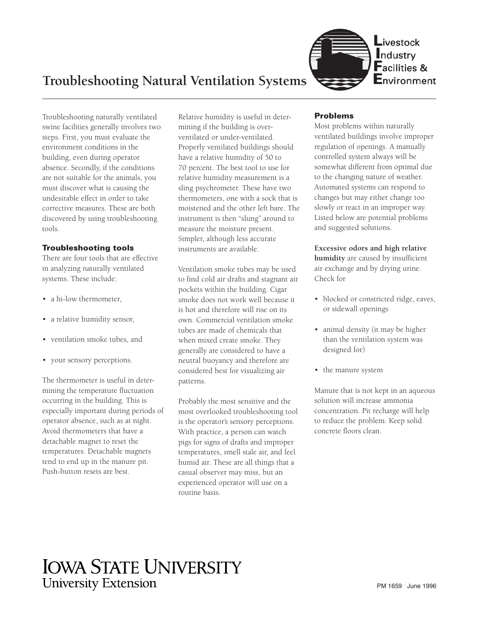

Troubleshooting naturally ventilated swine facilities generally involves two steps. First, you must evaluate the environment conditions in the building, even during operator absence. Secondly, if the conditions are not suitable for the animals, you must discover what is causing the undesirable effect in order to take corrective measures. These are both discovered by using troubleshooting tools.

## **Troubleshooting tools**

There are four tools that are effective in analyzing naturally ventilated systems. These include:

- a hi-low thermometer.
- a relative humidity sensor,
- ventilation smoke tubes, and
- your sensory perceptions.

The thermometer is useful in determining the temperature fluctuation occurring in the building. This is especially important during periods of operator absence, such as at night. Avoid thermometers that have a detachable magnet to reset the temperatures. Detachable magnets tend to end up in the manure pit. Push-button resets are best.

Relative humidity is useful in determining if the building is overventilated or under-ventilated. Properly ventilated buildings should have a relative humidity of 50 to 70 percent. The best tool to use for relative humidity measurement is a sling psychrometer. These have two thermometers, one with a sock that is moistened and the other left bare. The instrument is then "slung" around to measure the moisture present. Simpler, although less accurate instruments are available.

Ventilation smoke tubes may be used to find cold air drafts and stagnant air pockets within the building. Cigar smoke does not work well because it is hot and therefore will rise on its own. Commercial ventilation smoke tubes are made of chemicals that when mixed create smoke. They generally are considered to have a neutral buoyancy and therefore are considered best for visualizing air patterns.

Probably the most sensitive and the most overlooked troubleshooting tool is the operator's sensory perceptions. With practice, a person can watch pigs for signs of drafts and improper temperatures, smell stale air, and feel humid air. These are all things that a casual observer may miss, but an experienced operator will use on a routine basis.

## **Problems**

Most problems within naturally ventilated buildings involve improper regulation of openings. A manually controlled system always will be somewhat different from optimal due to the changing nature of weather. Automated systems can respond to changes but may either change too slowly or react in an improper way. Listed below are potential problems and suggested solutions.

**Excessive odors and high relative humidity** are caused by insufficient air exchange and by drying urine. Check for

- blocked or constricted ridge, eaves, or sidewall openings
- animal density (it may be higher than the ventilation system was designed for)
- the manure system

Manure that is not kept in an aqueous solution will increase ammonia concentration. Pit recharge will help to reduce the problem. Keep solid concrete floors clean.

# **IOWA STATE UNIVERSITY University Extension**